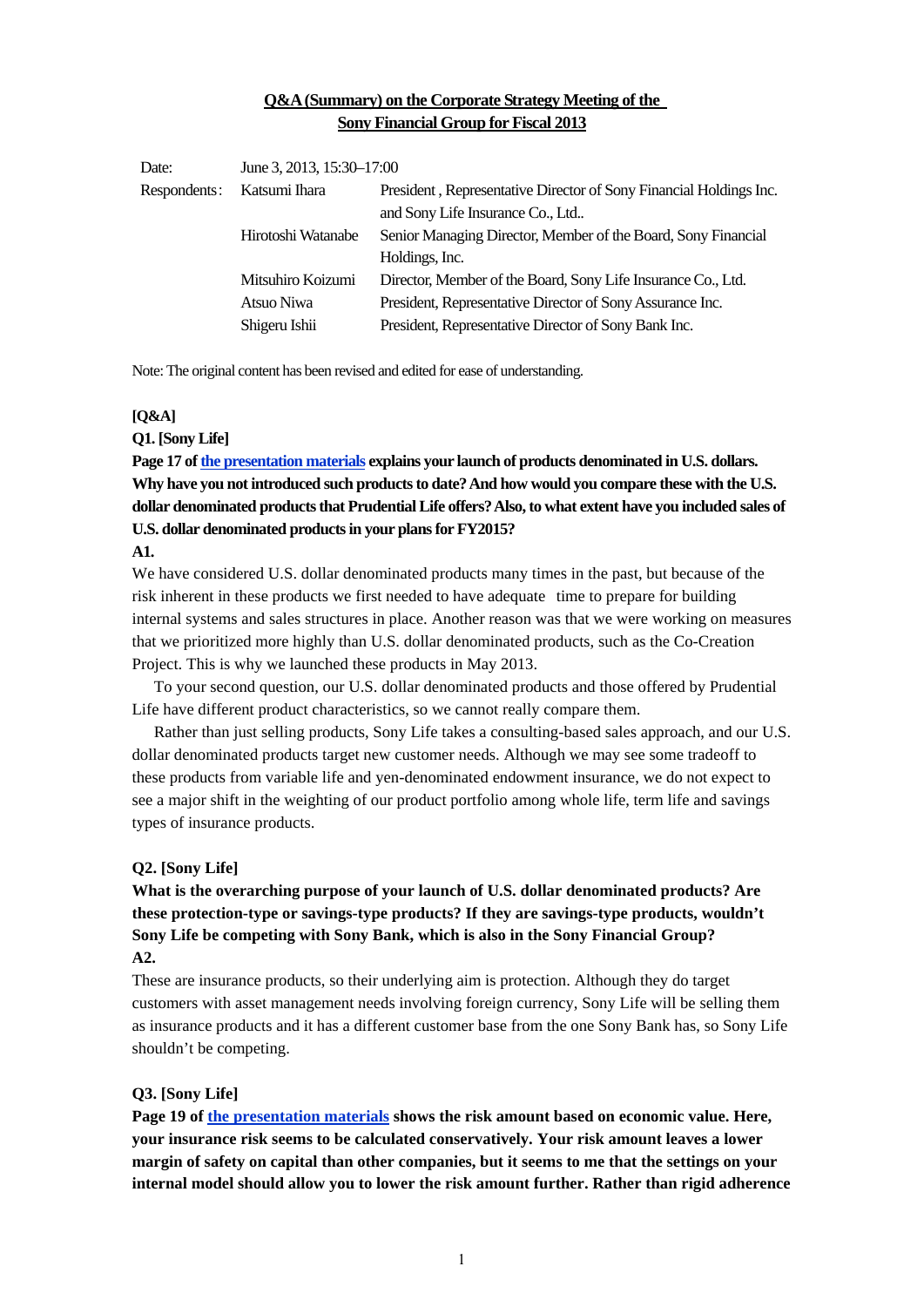# **Q&A (Summary) on the Corporate Strategy Meeting of the Sony Financial Group for Fiscal 2013**

| Date:        | June 3, 2013, 15:30-17:00 |                                                                    |
|--------------|---------------------------|--------------------------------------------------------------------|
| Respondents: | Katsumi Ihara             | President, Representative Director of Sony Financial Holdings Inc. |
|              |                           | and Sony Life Insurance Co., Ltd                                   |
|              | Hirotoshi Watanabe        | Senior Managing Director, Member of the Board, Sony Financial      |
|              |                           | Holdings, Inc.                                                     |
|              | Mitsuhiro Koizumi         | Director, Member of the Board, Sony Life Insurance Co., Ltd.       |
|              | Atsuo Niwa                | President, Representative Director of Sony Assurance Inc.          |
|              | Shigeru Ishii             | President, Representative Director of Sony Bank Inc.               |

Note: The original content has been revised and edited for ease of understanding.

#### **[Q&A]**

## **Q1. [Sony Life]**

**Page 17 of [the presentation materials e](https://www.sonyfh.co.jp/en/financial_info/management_vision/130603_01.pdf)xplains your launch of products denominated in U.S. dollars. Why have you not introduced such products to date? And how would you compare these with the U.S. dollar denominated products that Prudential Life offers? Also, to what extent have you included sales of U.S. dollar denominated products in your plans for FY2015?** 

### **A1.**

We have considered U.S. dollar denominated products many times in the past, but because of the risk inherent in these products we first needed to have adequate time to prepare for building internal systems and sales structures in place. Another reason was that we were working on measures that we prioritized more highly than U.S. dollar denominated products, such as the Co-Creation Project. This is why we launched these products in May 2013.

 To your second question, our U.S. dollar denominated products and those offered by Prudential Life have different product characteristics, so we cannot really compare them.

 Rather than just selling products, Sony Life takes a consulting-based sales approach, and our U.S. dollar denominated products target new customer needs. Although we may see some tradeoff to these products from variable life and yen-denominated endowment insurance, we do not expect to see a major shift in the weighting of our product portfolio among whole life, term life and savings types of insurance products.

#### **Q2. [Sony Life]**

# **What is the overarching purpose of your launch of U.S. dollar denominated products? Are these protection-type or savings-type products? If they are savings-type products, wouldn't Sony Life be competing with Sony Bank, which is also in the Sony Financial Group? A2.**

These are insurance products, so their underlying aim is protection. Although they do target customers with asset management needs involving foreign currency, Sony Life will be selling them as insurance products and it has a different customer base from the one Sony Bank has, so Sony Life shouldn't be competing.

### **Q3. [Sony Life]**

**Page 19 of [the presentation materials](https://www.sonyfh.co.jp/en/financial_info/management_vision/130603_01.pdf) shows the risk amount based on economic value. Here, your insurance risk seems to be calculated conservatively. Your risk amount leaves a lower margin of safety on capital than other companies, but it seems to me that the settings on your internal model should allow you to lower the risk amount further. Rather than rigid adherence**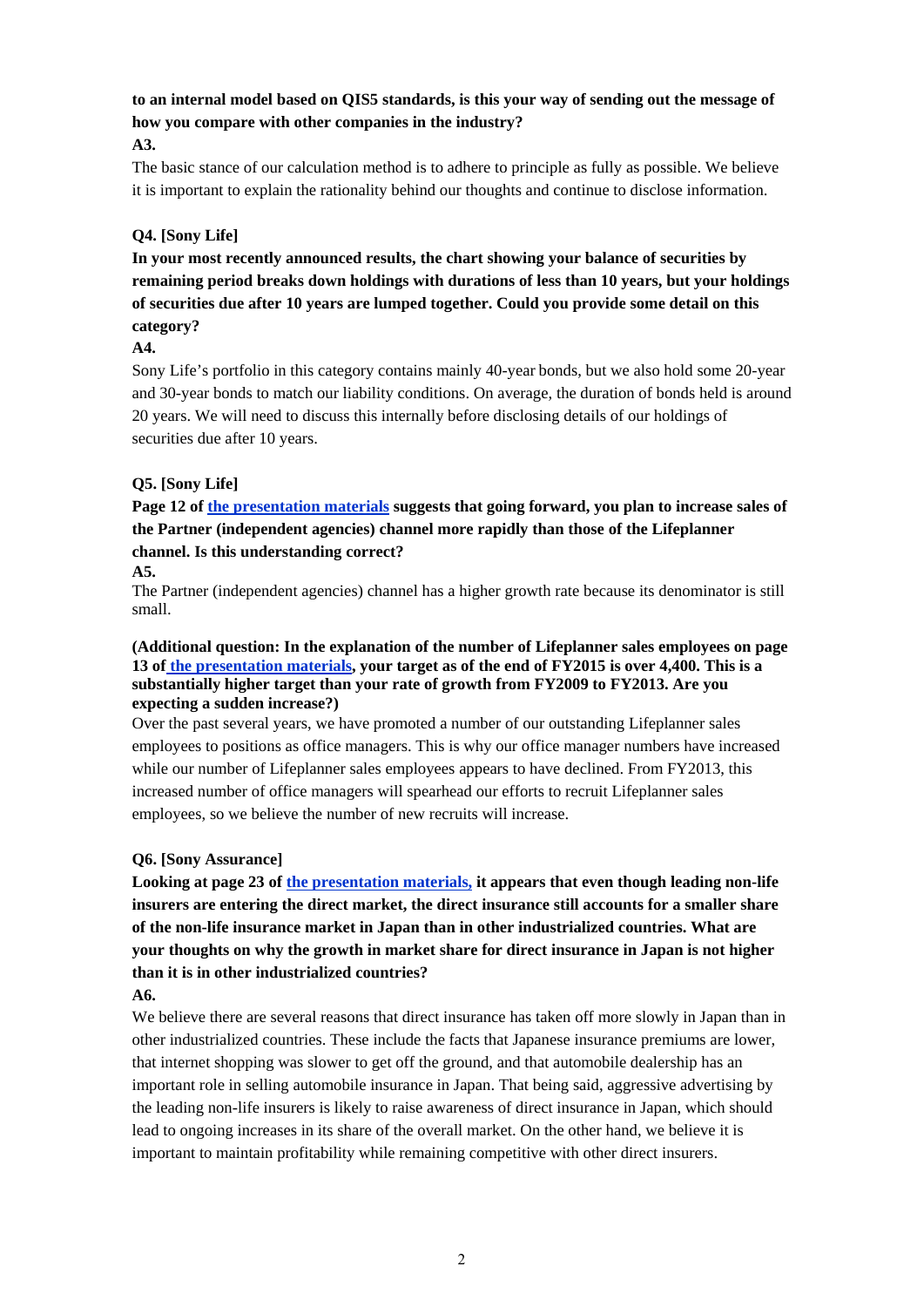**to an internal model based on QIS5 standards, is this your way of sending out the message of how you compare with other companies in the industry?** 

## **A3.**

The basic stance of our calculation method is to adhere to principle as fully as possible. We believe it is important to explain the rationality behind our thoughts and continue to disclose information.

# **Q4. [Sony Life]**

**In your most recently announced results, the chart showing your balance of securities by remaining period breaks down holdings with durations of less than 10 years, but your holdings of securities due after 10 years are lumped together. Could you provide some detail on this category?** 

## **A4.**

Sony Life's portfolio in this category contains mainly 40-year bonds, but we also hold some 20-year and 30-year bonds to match our liability conditions. On average, the duration of bonds held is around 20 years. We will need to discuss this internally before disclosing details of our holdings of securities due after 10 years.

# **Q5. [Sony Life]**

**Page 12 of [the presentation materials](https://www.sonyfh.co.jp/en/financial_info/management_vision/130603_01.pdf) suggests that going forward, you plan to increase sales of the Partner (independent agencies) channel more rapidly than those of the Lifeplanner channel. Is this understanding correct?** 

### **A5.**

The Partner (independent agencies) channel has a higher growth rate because its denominator is still small.

### **(Additional question: In the explanation of the number of Lifeplanner sales employees on page 13 of [the presentation materials,](https://www.sonyfh.co.jp/en/financial_info/management_vision/130603_01.pdf) your target as of the end of FY2015 is over 4,400. This is a substantially higher target than your rate of growth from FY2009 to FY2013. Are you expecting a sudden increase?)**

Over the past several years, we have promoted a number of our outstanding Lifeplanner sales employees to positions as office managers. This is why our office manager numbers have increased while our number of Lifeplanner sales employees appears to have declined. From FY2013, this increased number of office managers will spearhead our efforts to recruit Lifeplanner sales employees, so we believe the number of new recruits will increase.

# **Q6. [Sony Assurance]**

**Looking at page 23 of [the presentation materials,](https://www.sonyfh.co.jp/en/financial_info/management_vision/130603_01.pdf) it appears that even though leading non-life insurers are entering the direct market, the direct insurance still accounts for a smaller share of the non-life insurance market in Japan than in other industrialized countries. What are your thoughts on why the growth in market share for direct insurance in Japan is not higher than it is in other industrialized countries?** 

## **A6.**

We believe there are several reasons that direct insurance has taken off more slowly in Japan than in other industrialized countries. These include the facts that Japanese insurance premiums are lower, that internet shopping was slower to get off the ground, and that automobile dealership has an important role in selling automobile insurance in Japan. That being said, aggressive advertising by the leading non-life insurers is likely to raise awareness of direct insurance in Japan, which should lead to ongoing increases in its share of the overall market. On the other hand, we believe it is important to maintain profitability while remaining competitive with other direct insurers.